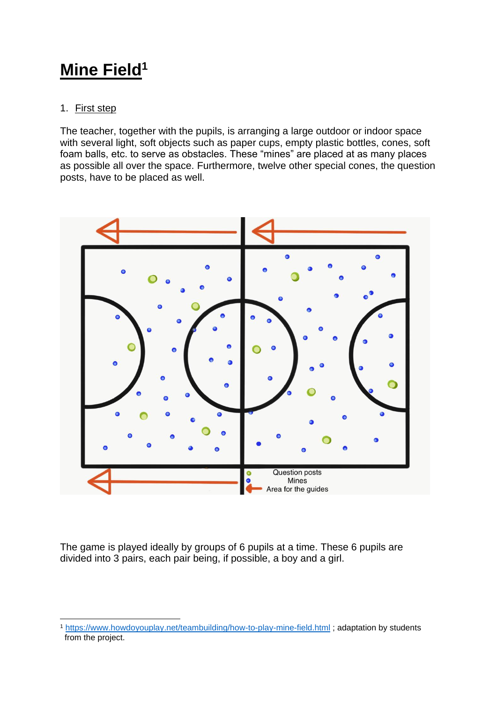# **Mine Field<sup>1</sup>**

## 1. First step

The teacher, together with the pupils, is arranging a large outdoor or indoor space with several light, soft objects such as paper cups, empty plastic bottles, cones, soft foam balls, etc. to serve as obstacles. These "mines" are placed at as many places as possible all over the space. Furthermore, twelve other special cones, the question posts, have to be placed as well.



The game is played ideally by groups of 6 pupils at a time. These 6 pupils are divided into 3 pairs, each pair being, if possible, a boy and a girl.

<sup>1</sup> <https://www.howdoyouplay.net/teambuilding/how-to-play-mine-field.html> ; adaptation by students from the project.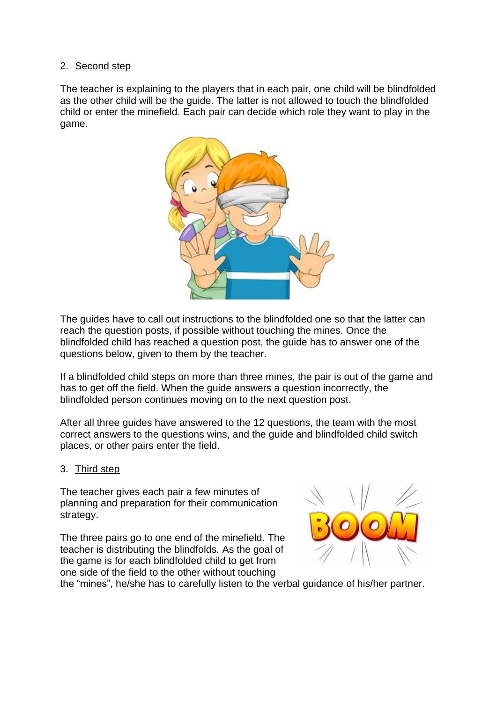### 2. Second step

The teacher is explaining to the players that in each pair, one child will be blindfolded as the other child will be the guide. The latter is not allowed to touch the blindfolded child or enter the minefield. Each pair can decide which role they want to play in the game.



The guides have to call out instructions to the blindfolded one so that the latter can reach the question posts, if possible without touching the mines. Once the blindfolded child has reached a question post, the guide has to answer one of the questions below, given to them by the teacher.

If a blindfolded child steps on more than three mines, the pair is out of the game and has to get off the field. When the guide answers a question incorrectly, the blindfolded person continues moving on to the next question post.

After all three guides have answered to the 12 questions, the team with the most correct answers to the questions wins, and the guide and blindfolded child switch places, or other pairs enter the field.

### 3. Third step

The teacher gives each pair a few minutes of planning and preparation for their communication strategy.

The three pairs go to one end of the minefield. The teacher is distributing the blindfolds. As the goal of the game is for each blindfolded child to get from one side of the field to the other without touching



the "mines", he/she has to carefully listen to the verbal guidance of his/her partner.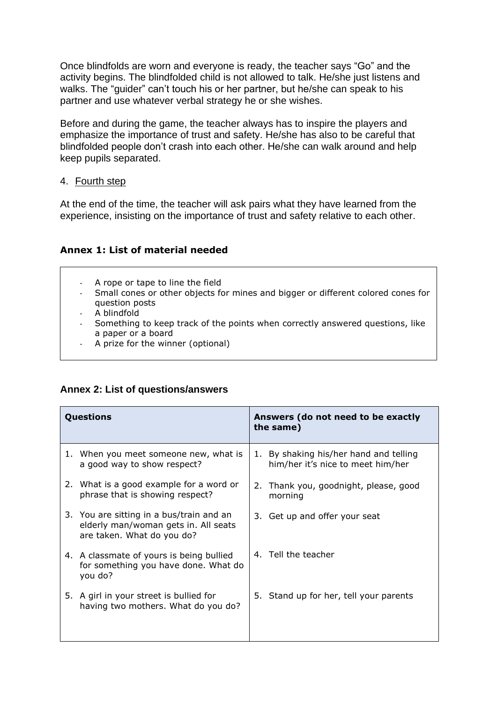Once blindfolds are worn and everyone is ready, the teacher says "Go" and the activity begins. The blindfolded child is not allowed to talk. He/she just listens and walks. The "guider" can't touch his or her partner, but he/she can speak to his partner and use whatever verbal strategy he or she wishes.

Before and during the game, the teacher always has to inspire the players and emphasize the importance of trust and safety. He/she has also to be careful that blindfolded people don't crash into each other. He/she can walk around and help keep pupils separated.

#### 4. Fourth step

At the end of the time, the teacher will ask pairs what they have learned from the experience, insisting on the importance of trust and safety relative to each other.

### **Annex 1: List of material needed**

- A rope or tape to line the field
- Small cones or other objects for mines and bigger or different colored cones for question posts
- A blindfold
- Something to keep track of the points when correctly answered questions, like a paper or a board
- A prize for the winner (optional)

### **Annex 2: List of questions/answers**

| Questions |                                                                                                                | Answers (do not need to be exactly<br>the same) |                                                                             |
|-----------|----------------------------------------------------------------------------------------------------------------|-------------------------------------------------|-----------------------------------------------------------------------------|
|           | 1. When you meet someone new, what is<br>a good way to show respect?                                           |                                                 | 1. By shaking his/her hand and telling<br>him/her it's nice to meet him/her |
|           | 2. What is a good example for a word or<br>phrase that is showing respect?                                     |                                                 | 2. Thank you, goodnight, please, good<br>morning                            |
|           | 3. You are sitting in a bus/train and an<br>elderly man/woman gets in. All seats<br>are taken. What do you do? |                                                 | 3. Get up and offer your seat                                               |
|           | 4. A classmate of yours is being bullied<br>for something you have done. What do<br>you do?                    |                                                 | 4. Tell the teacher                                                         |
|           | 5. A girl in your street is bullied for<br>having two mothers. What do you do?                                 |                                                 | 5. Stand up for her, tell your parents                                      |
|           |                                                                                                                |                                                 |                                                                             |